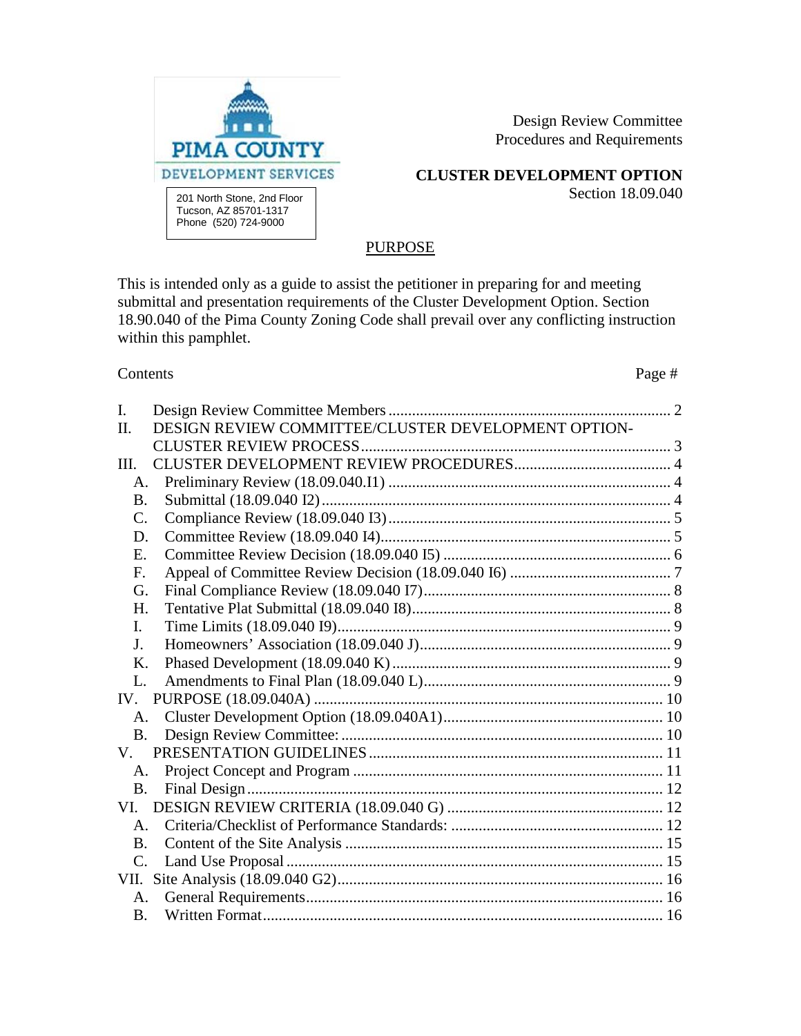

Design Review Committee Procedures and Requirements

**CLUSTER DEVELOPMENT OPTION**

Section 18.09.040

# **PURPOSE**

This is intended only as a guide to assist the petitioner in preparing for and meeting submittal and presentation requirements of the Cluster Development Option. Section 18.90.040 of the Pima County Zoning Code shall prevail over any conflicting instruction within this pamphlet.

Contents Page #

| $\mathbf{I}$ .  |                                                     |  |
|-----------------|-----------------------------------------------------|--|
| II.             | DESIGN REVIEW COMMITTEE/CLUSTER DEVELOPMENT OPTION- |  |
|                 |                                                     |  |
| III.            |                                                     |  |
| A.              |                                                     |  |
| <b>B.</b>       |                                                     |  |
| $\mathcal{C}$ . |                                                     |  |
| D.              |                                                     |  |
| E.              |                                                     |  |
| F.              |                                                     |  |
| G.              |                                                     |  |
| H.              |                                                     |  |
| L.              |                                                     |  |
| J <sub>r</sub>  |                                                     |  |
| $K_{\cdot}$     |                                                     |  |
| L.              |                                                     |  |
|                 |                                                     |  |
| $A_{-}$         |                                                     |  |
| B <sub>r</sub>  |                                                     |  |
| V.              |                                                     |  |
| A.              |                                                     |  |
| <b>B.</b>       |                                                     |  |
|                 |                                                     |  |
| $A_{-}$         |                                                     |  |
| $B_{-}$         |                                                     |  |
| $C_{\cdot}$     |                                                     |  |
|                 |                                                     |  |
| А.              |                                                     |  |
| <b>B.</b>       |                                                     |  |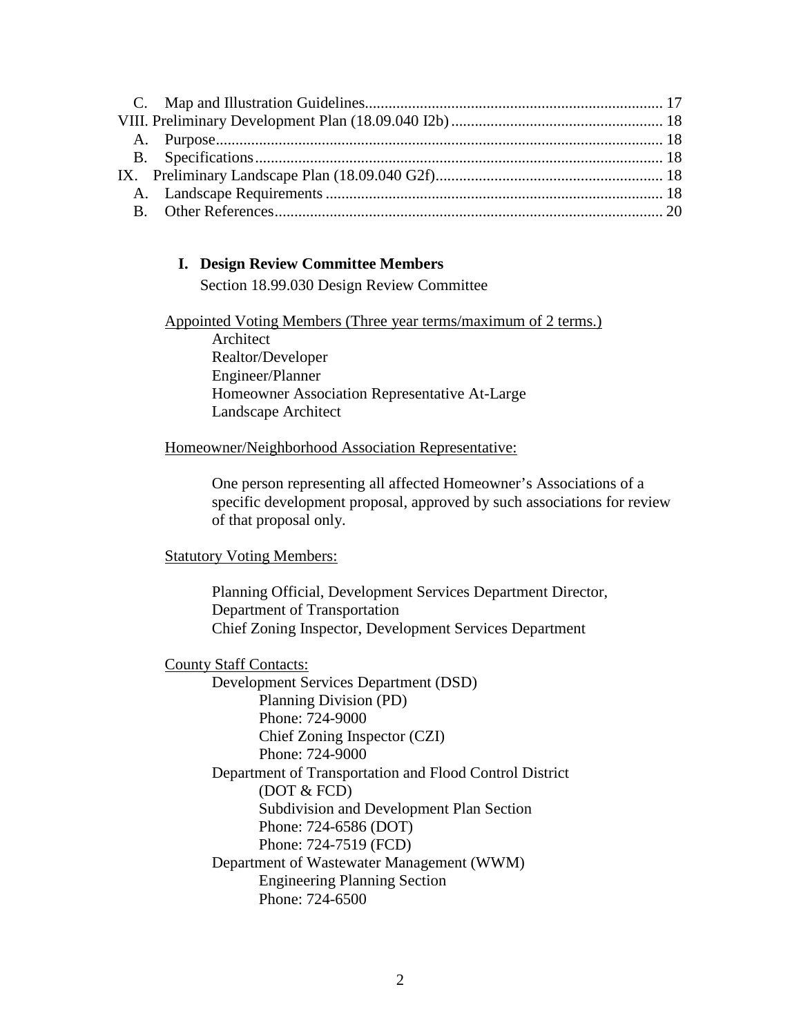## <span id="page-1-0"></span>**I. Design Review Committee Members**

Section 18.99.030 Design Review Committee

Appointed Voting Members (Three year terms/maximum of 2 terms.) Architect Realtor/Developer Engineer/Planner Homeowner Association Representative At-Large Landscape Architect

#### Homeowner/Neighborhood Association Representative:

One person representing all affected Homeowner's Associations of a specific development proposal, approved by such associations for review of that proposal only.

## **Statutory Voting Members:**

Planning Official, Development Services Department Director, Department of Transportation Chief Zoning Inspector, Development Services Department

## County Staff Contacts:

Development Services Department (DSD) Planning Division (PD) Phone: 724-9000 Chief Zoning Inspector (CZI) Phone: 724-9000 Department of Transportation and Flood Control District (DOT & FCD) Subdivision and Development Plan Section Phone: 724-6586 (DOT) Phone: 724-7519 (FCD) Department of Wastewater Management (WWM) Engineering Planning Section Phone: 724-6500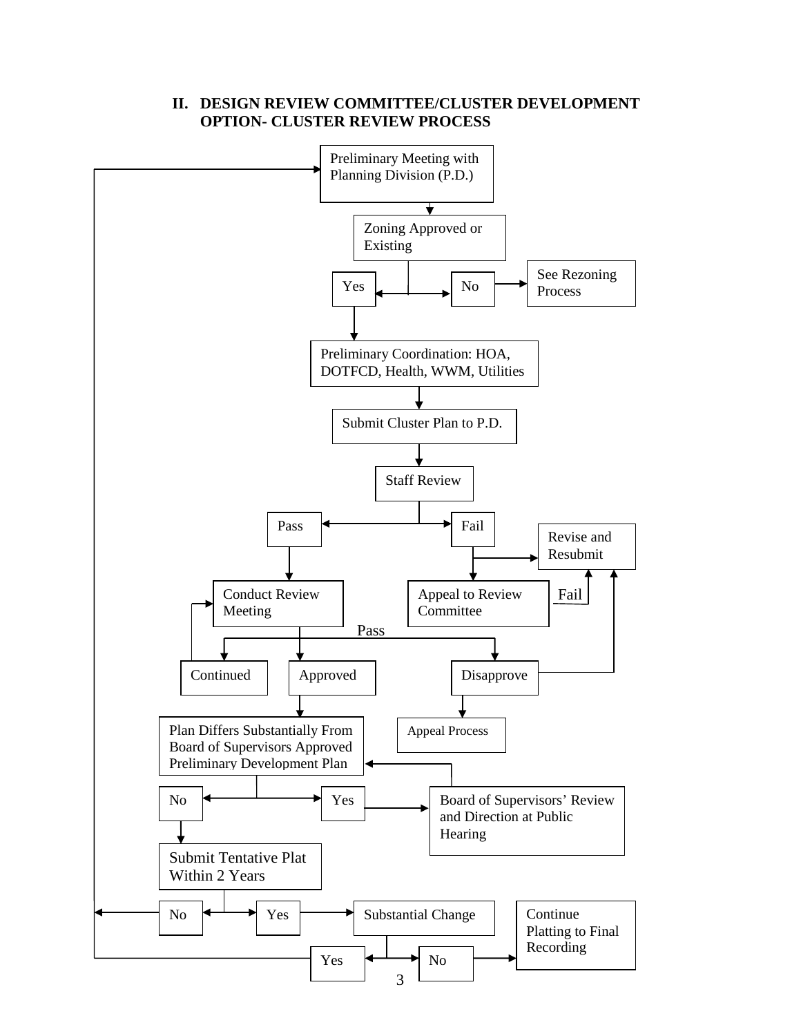<span id="page-2-0"></span>

## **II. DESIGN REVIEW COMMITTEE/CLUSTER DEVELOPMENT OPTION- CLUSTER REVIEW PROCESS**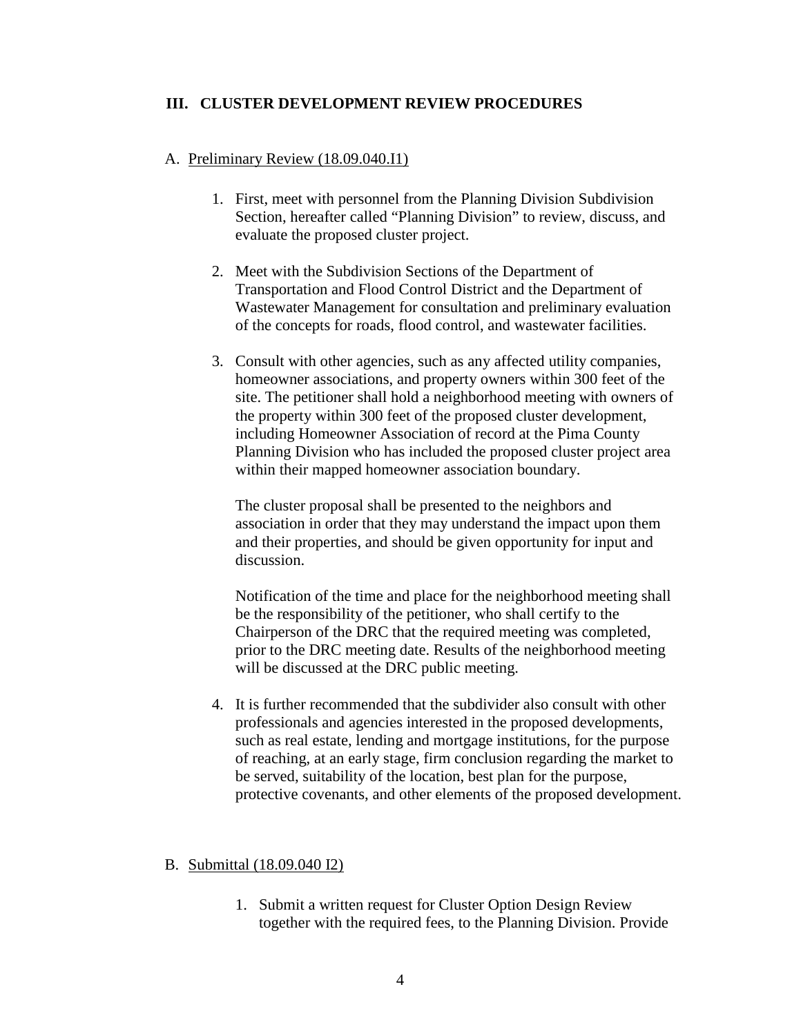#### <span id="page-3-0"></span>**III. CLUSTER DEVELOPMENT REVIEW PROCEDURES**

#### <span id="page-3-1"></span>A. Preliminary Review (18.09.040.I1)

- 1. First, meet with personnel from the Planning Division Subdivision Section, hereafter called "Planning Division" to review, discuss, and evaluate the proposed cluster project.
- 2. Meet with the Subdivision Sections of the Department of Transportation and Flood Control District and the Department of Wastewater Management for consultation and preliminary evaluation of the concepts for roads, flood control, and wastewater facilities.
- 3. Consult with other agencies, such as any affected utility companies, homeowner associations, and property owners within 300 feet of the site. The petitioner shall hold a neighborhood meeting with owners of the property within 300 feet of the proposed cluster development, including Homeowner Association of record at the Pima County Planning Division who has included the proposed cluster project area within their mapped homeowner association boundary.

The cluster proposal shall be presented to the neighbors and association in order that they may understand the impact upon them and their properties, and should be given opportunity for input and discussion.

Notification of the time and place for the neighborhood meeting shall be the responsibility of the petitioner, who shall certify to the Chairperson of the DRC that the required meeting was completed, prior to the DRC meeting date. Results of the neighborhood meeting will be discussed at the DRC public meeting.

4. It is further recommended that the subdivider also consult with other professionals and agencies interested in the proposed developments, such as real estate, lending and mortgage institutions, for the purpose of reaching, at an early stage, firm conclusion regarding the market to be served, suitability of the location, best plan for the purpose, protective covenants, and other elements of the proposed development.

#### <span id="page-3-2"></span>B. Submittal (18.09.040 I2)

1. Submit a written request for Cluster Option Design Review together with the required fees, to the Planning Division. Provide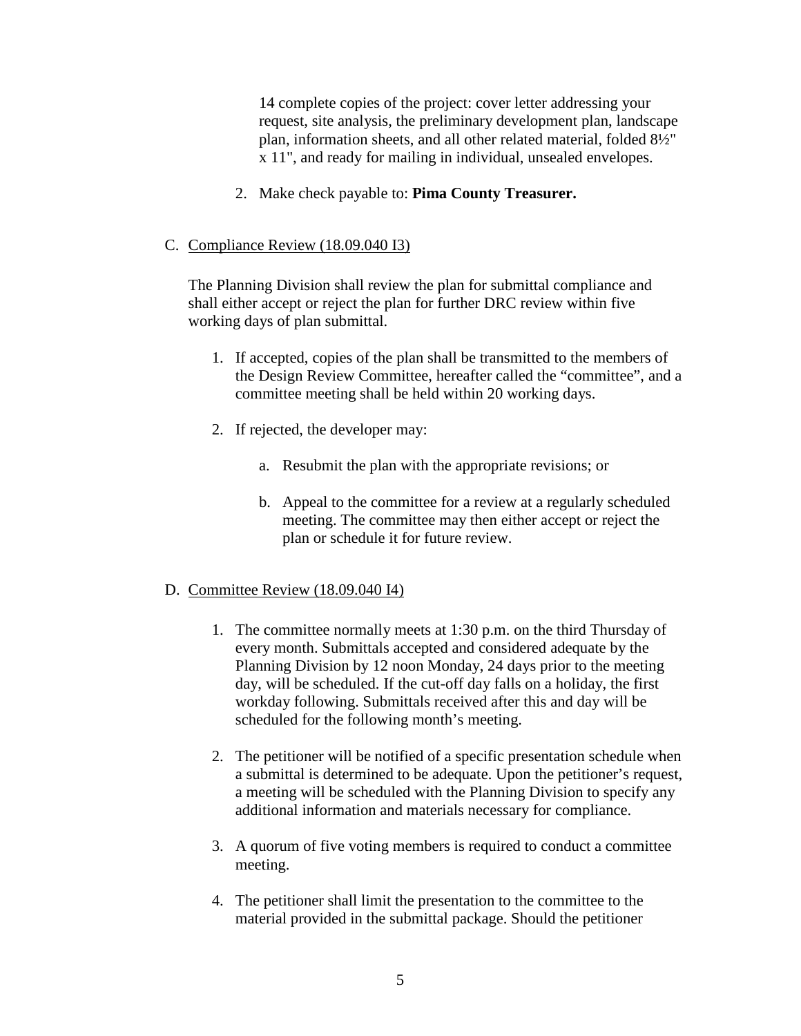14 complete copies of the project: cover letter addressing your request, site analysis, the preliminary development plan, landscape plan, information sheets, and all other related material, folded 8½" x 11", and ready for mailing in individual, unsealed envelopes.

2. Make check payable to: **Pima County Treasurer.**

## <span id="page-4-0"></span>C. Compliance Review (18.09.040 I3)

The Planning Division shall review the plan for submittal compliance and shall either accept or reject the plan for further DRC review within five working days of plan submittal.

- 1. If accepted, copies of the plan shall be transmitted to the members of the Design Review Committee, hereafter called the "committee", and a committee meeting shall be held within 20 working days.
- 2. If rejected, the developer may:
	- a. Resubmit the plan with the appropriate revisions; or
	- b. Appeal to the committee for a review at a regularly scheduled meeting. The committee may then either accept or reject the plan or schedule it for future review.

# <span id="page-4-1"></span>D. Committee Review (18.09.040 I4)

- 1. The committee normally meets at 1:30 p.m. on the third Thursday of every month. Submittals accepted and considered adequate by the Planning Division by 12 noon Monday, 24 days prior to the meeting day, will be scheduled. If the cut-off day falls on a holiday, the first workday following. Submittals received after this and day will be scheduled for the following month's meeting.
- 2. The petitioner will be notified of a specific presentation schedule when a submittal is determined to be adequate. Upon the petitioner's request, a meeting will be scheduled with the Planning Division to specify any additional information and materials necessary for compliance.
- 3. A quorum of five voting members is required to conduct a committee meeting.
- 4. The petitioner shall limit the presentation to the committee to the material provided in the submittal package. Should the petitioner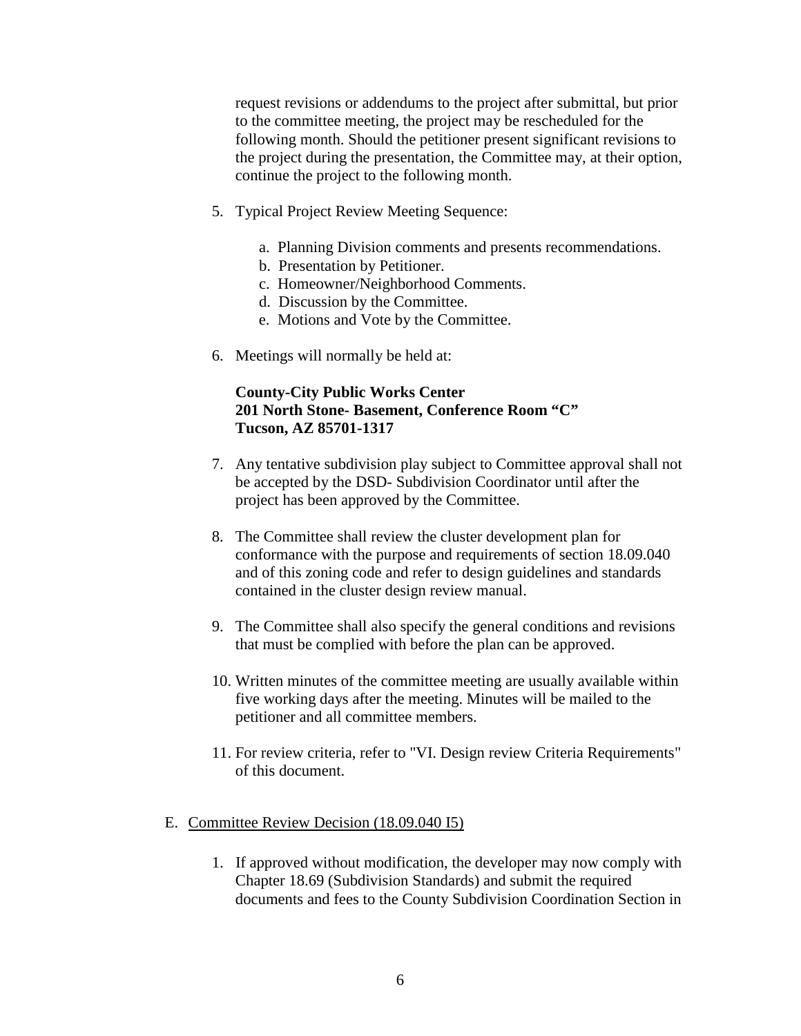request revisions or addendums to the project after submittal, but prior to the committee meeting, the project may be rescheduled for the following month. Should the petitioner present significant revisions to the project during the presentation, the Committee may, at their option, continue the project to the following month.

- 5. Typical Project Review Meeting Sequence:
	- a. Planning Division comments and presents recommendations.
	- b. Presentation by Petitioner.
	- c. Homeowner/Neighborhood Comments.
	- d. Discussion by the Committee.
	- e. Motions and Vote by the Committee.
- 6. Meetings will normally be held at:

# **County-City Public Works Center 201 North Stone- Basement, Conference Room "C" Tucson, AZ 85701-1317**

- 7. Any tentative subdivision play subject to Committee approval shall not be accepted by the DSD- Subdivision Coordinator until after the project has been approved by the Committee.
- 8. The Committee shall review the cluster development plan for conformance with the purpose and requirements of section 18.09.040 and of this zoning code and refer to design guidelines and standards contained in the cluster design review manual.
- 9. The Committee shall also specify the general conditions and revisions that must be complied with before the plan can be approved.
- 10. Written minutes of the committee meeting are usually available within five working days after the meeting. Minutes will be mailed to the petitioner and all committee members.
- 11. For review criteria, refer to "VI. Design review Criteria Requirements" of this document.

#### <span id="page-5-0"></span>E. Committee Review Decision (18.09.040 I5)

1. If approved without modification, the developer may now comply with Chapter 18.69 (Subdivision Standards) and submit the required documents and fees to the County Subdivision Coordination Section in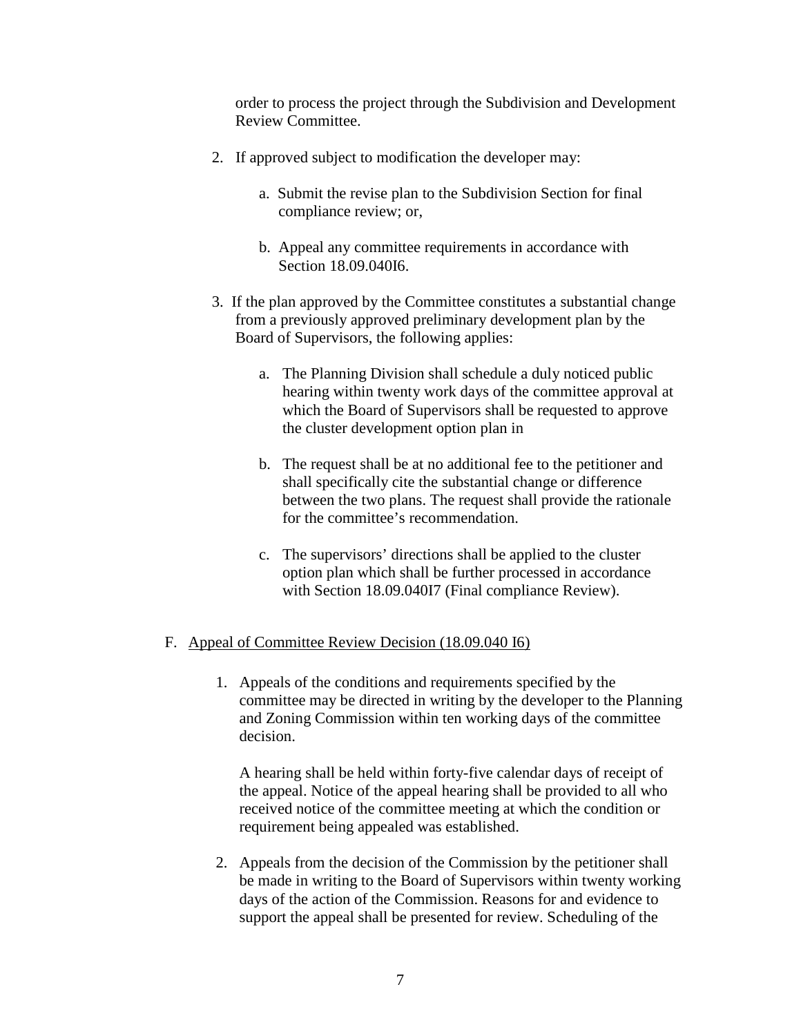order to process the project through the Subdivision and Development Review Committee.

- 2. If approved subject to modification the developer may:
	- a. Submit the revise plan to the Subdivision Section for final compliance review; or,
	- b. Appeal any committee requirements in accordance with Section 18.09.040I6.
- 3. If the plan approved by the Committee constitutes a substantial change from a previously approved preliminary development plan by the Board of Supervisors, the following applies:
	- a. The Planning Division shall schedule a duly noticed public hearing within twenty work days of the committee approval at which the Board of Supervisors shall be requested to approve the cluster development option plan in
	- b. The request shall be at no additional fee to the petitioner and shall specifically cite the substantial change or difference between the two plans. The request shall provide the rationale for the committee's recommendation.
	- c. The supervisors' directions shall be applied to the cluster option plan which shall be further processed in accordance with Section 18.09.040I7 (Final compliance Review).

## <span id="page-6-0"></span>F. Appeal of Committee Review Decision (18.09.040 I6)

1. Appeals of the conditions and requirements specified by the committee may be directed in writing by the developer to the Planning and Zoning Commission within ten working days of the committee decision.

A hearing shall be held within forty-five calendar days of receipt of the appeal. Notice of the appeal hearing shall be provided to all who received notice of the committee meeting at which the condition or requirement being appealed was established.

2. Appeals from the decision of the Commission by the petitioner shall be made in writing to the Board of Supervisors within twenty working days of the action of the Commission. Reasons for and evidence to support the appeal shall be presented for review. Scheduling of the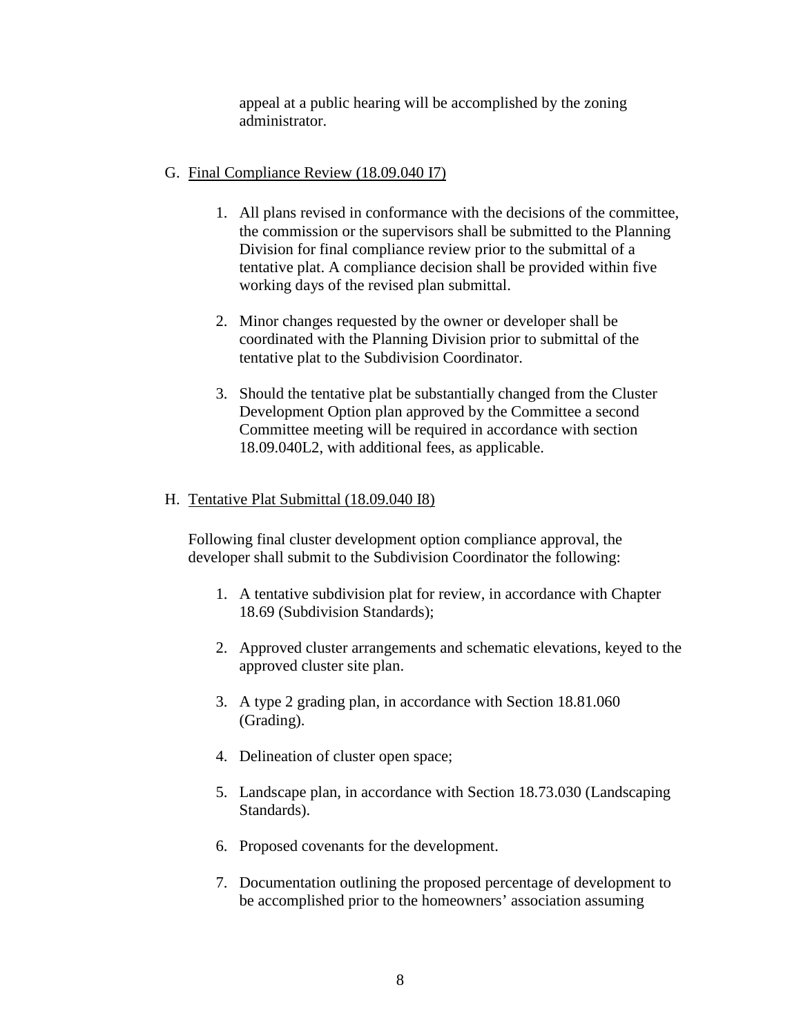appeal at a public hearing will be accomplished by the zoning administrator.

## <span id="page-7-0"></span>G. Final Compliance Review (18.09.040 I7)

- 1. All plans revised in conformance with the decisions of the committee, the commission or the supervisors shall be submitted to the Planning Division for final compliance review prior to the submittal of a tentative plat. A compliance decision shall be provided within five working days of the revised plan submittal.
- 2. Minor changes requested by the owner or developer shall be coordinated with the Planning Division prior to submittal of the tentative plat to the Subdivision Coordinator.
- 3. Should the tentative plat be substantially changed from the Cluster Development Option plan approved by the Committee a second Committee meeting will be required in accordance with section 18.09.040L2, with additional fees, as applicable.

## <span id="page-7-1"></span>H. Tentative Plat Submittal (18.09.040 I8)

Following final cluster development option compliance approval, the developer shall submit to the Subdivision Coordinator the following:

- 1. A tentative subdivision plat for review, in accordance with Chapter 18.69 (Subdivision Standards);
- 2. Approved cluster arrangements and schematic elevations, keyed to the approved cluster site plan.
- 3. A type 2 grading plan, in accordance with Section 18.81.060 (Grading).
- 4. Delineation of cluster open space;
- 5. Landscape plan, in accordance with Section 18.73.030 (Landscaping Standards).
- 6. Proposed covenants for the development.
- 7. Documentation outlining the proposed percentage of development to be accomplished prior to the homeowners' association assuming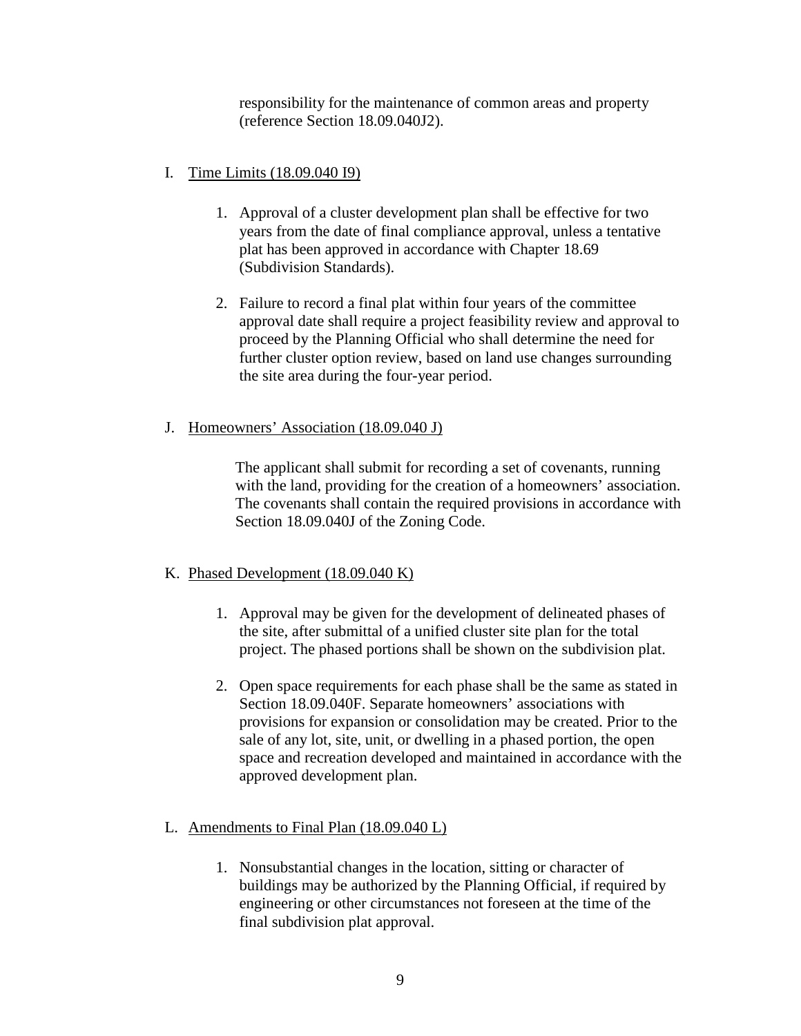responsibility for the maintenance of common areas and property (reference Section 18.09.040J2).

# <span id="page-8-0"></span>I. Time Limits (18.09.040 I9)

- 1. Approval of a cluster development plan shall be effective for two years from the date of final compliance approval, unless a tentative plat has been approved in accordance with Chapter 18.69 (Subdivision Standards).
- 2. Failure to record a final plat within four years of the committee approval date shall require a project feasibility review and approval to proceed by the Planning Official who shall determine the need for further cluster option review, based on land use changes surrounding the site area during the four-year period.

## <span id="page-8-1"></span>J. Homeowners' Association (18.09.040 J)

The applicant shall submit for recording a set of covenants, running with the land, providing for the creation of a homeowners' association. The covenants shall contain the required provisions in accordance with Section 18.09.040J of the Zoning Code.

## <span id="page-8-2"></span>K. Phased Development (18.09.040 K)

- 1. Approval may be given for the development of delineated phases of the site, after submittal of a unified cluster site plan for the total project. The phased portions shall be shown on the subdivision plat.
- 2. Open space requirements for each phase shall be the same as stated in Section 18.09.040F. Separate homeowners' associations with provisions for expansion or consolidation may be created. Prior to the sale of any lot, site, unit, or dwelling in a phased portion, the open space and recreation developed and maintained in accordance with the approved development plan.

# <span id="page-8-3"></span>L. Amendments to Final Plan (18.09.040 L)

1. Nonsubstantial changes in the location, sitting or character of buildings may be authorized by the Planning Official, if required by engineering or other circumstances not foreseen at the time of the final subdivision plat approval.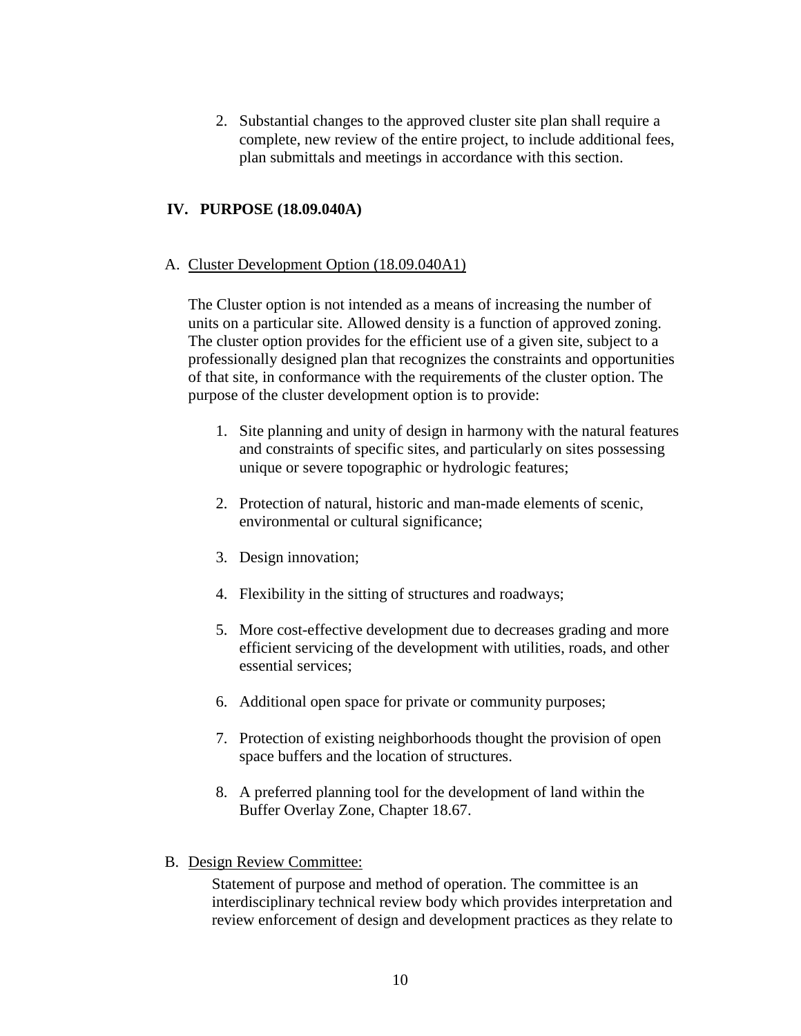2. Substantial changes to the approved cluster site plan shall require a complete, new review of the entire project, to include additional fees, plan submittals and meetings in accordance with this section.

## <span id="page-9-0"></span>**IV. PURPOSE (18.09.040A)**

#### <span id="page-9-1"></span>A. Cluster Development Option (18.09.040A1)

The Cluster option is not intended as a means of increasing the number of units on a particular site. Allowed density is a function of approved zoning. The cluster option provides for the efficient use of a given site, subject to a professionally designed plan that recognizes the constraints and opportunities of that site, in conformance with the requirements of the cluster option. The purpose of the cluster development option is to provide:

- 1. Site planning and unity of design in harmony with the natural features and constraints of specific sites, and particularly on sites possessing unique or severe topographic or hydrologic features;
- 2. Protection of natural, historic and man-made elements of scenic, environmental or cultural significance;
- 3. Design innovation;
- 4. Flexibility in the sitting of structures and roadways;
- 5. More cost-effective development due to decreases grading and more efficient servicing of the development with utilities, roads, and other essential services;
- 6. Additional open space for private or community purposes;
- 7. Protection of existing neighborhoods thought the provision of open space buffers and the location of structures.
- 8. A preferred planning tool for the development of land within the Buffer Overlay Zone, Chapter 18.67.
- <span id="page-9-2"></span>B. Design Review Committee:

Statement of purpose and method of operation. The committee is an interdisciplinary technical review body which provides interpretation and review enforcement of design and development practices as they relate to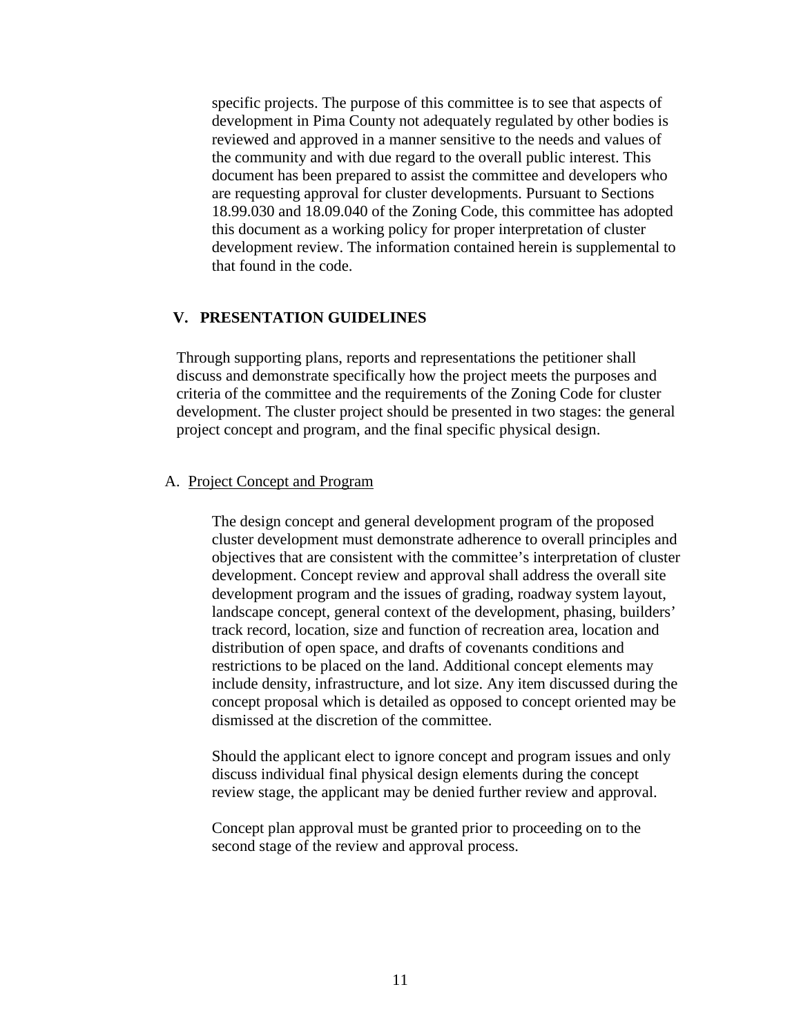specific projects. The purpose of this committee is to see that aspects of development in Pima County not adequately regulated by other bodies is reviewed and approved in a manner sensitive to the needs and values of the community and with due regard to the overall public interest. This document has been prepared to assist the committee and developers who are requesting approval for cluster developments. Pursuant to Sections 18.99.030 and 18.09.040 of the Zoning Code, this committee has adopted this document as a working policy for proper interpretation of cluster development review. The information contained herein is supplemental to that found in the code.

#### <span id="page-10-0"></span>**V. PRESENTATION GUIDELINES**

Through supporting plans, reports and representations the petitioner shall discuss and demonstrate specifically how the project meets the purposes and criteria of the committee and the requirements of the Zoning Code for cluster development. The cluster project should be presented in two stages: the general project concept and program, and the final specific physical design.

#### <span id="page-10-1"></span>A. Project Concept and Program

The design concept and general development program of the proposed cluster development must demonstrate adherence to overall principles and objectives that are consistent with the committee's interpretation of cluster development. Concept review and approval shall address the overall site development program and the issues of grading, roadway system layout, landscape concept, general context of the development, phasing, builders' track record, location, size and function of recreation area, location and distribution of open space, and drafts of covenants conditions and restrictions to be placed on the land. Additional concept elements may include density, infrastructure, and lot size. Any item discussed during the concept proposal which is detailed as opposed to concept oriented may be dismissed at the discretion of the committee.

Should the applicant elect to ignore concept and program issues and only discuss individual final physical design elements during the concept review stage, the applicant may be denied further review and approval.

Concept plan approval must be granted prior to proceeding on to the second stage of the review and approval process.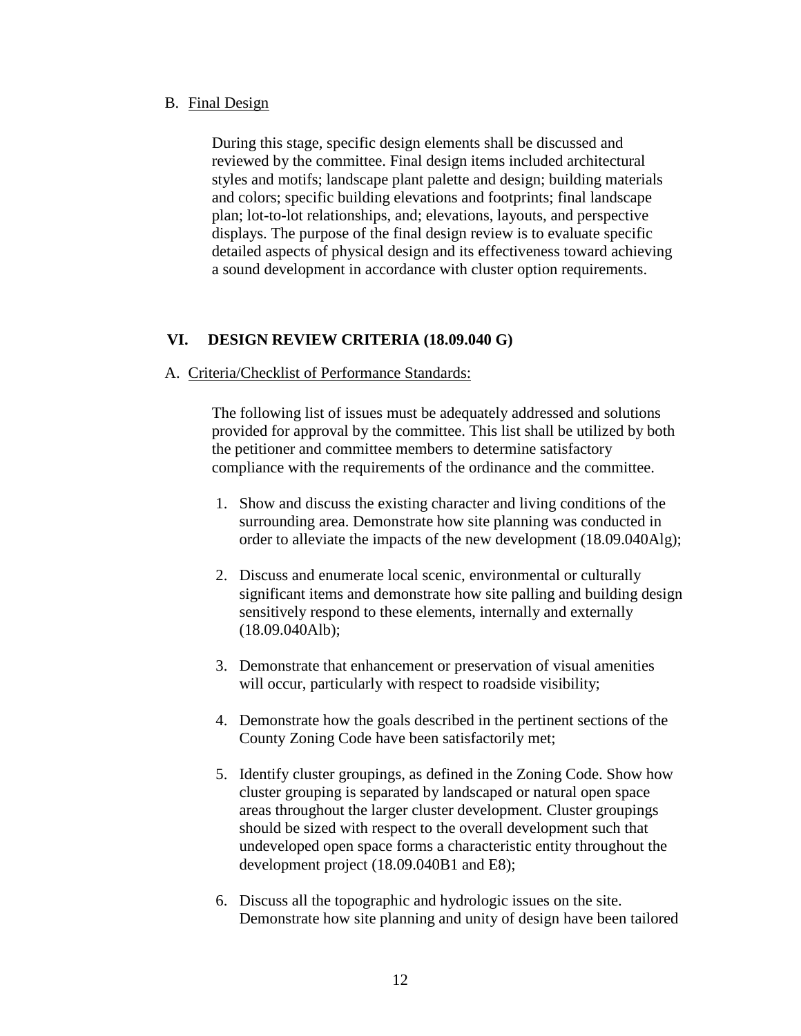#### <span id="page-11-0"></span>B. Final Design

During this stage, specific design elements shall be discussed and reviewed by the committee. Final design items included architectural styles and motifs; landscape plant palette and design; building materials and colors; specific building elevations and footprints; final landscape plan; lot-to-lot relationships, and; elevations, layouts, and perspective displays. The purpose of the final design review is to evaluate specific detailed aspects of physical design and its effectiveness toward achieving a sound development in accordance with cluster option requirements.

## <span id="page-11-1"></span>**VI. DESIGN REVIEW CRITERIA (18.09.040 G)**

## <span id="page-11-2"></span>A. Criteria/Checklist of Performance Standards:

The following list of issues must be adequately addressed and solutions provided for approval by the committee. This list shall be utilized by both the petitioner and committee members to determine satisfactory compliance with the requirements of the ordinance and the committee.

- 1. Show and discuss the existing character and living conditions of the surrounding area. Demonstrate how site planning was conducted in order to alleviate the impacts of the new development (18.09.040Alg);
- 2. Discuss and enumerate local scenic, environmental or culturally significant items and demonstrate how site palling and building design sensitively respond to these elements, internally and externally (18.09.040Alb);
- 3. Demonstrate that enhancement or preservation of visual amenities will occur, particularly with respect to roadside visibility;
- 4. Demonstrate how the goals described in the pertinent sections of the County Zoning Code have been satisfactorily met;
- 5. Identify cluster groupings, as defined in the Zoning Code. Show how cluster grouping is separated by landscaped or natural open space areas throughout the larger cluster development. Cluster groupings should be sized with respect to the overall development such that undeveloped open space forms a characteristic entity throughout the development project (18.09.040B1 and E8);
- 6. Discuss all the topographic and hydrologic issues on the site. Demonstrate how site planning and unity of design have been tailored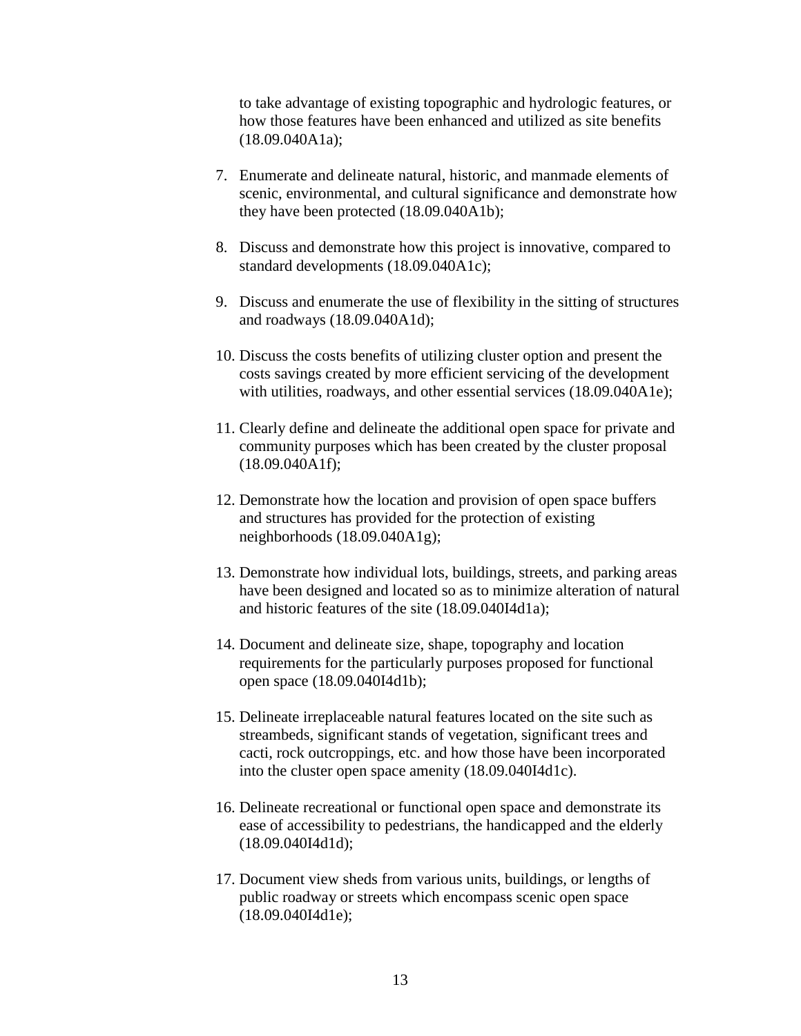to take advantage of existing topographic and hydrologic features, or how those features have been enhanced and utilized as site benefits (18.09.040A1a);

- 7. Enumerate and delineate natural, historic, and manmade elements of scenic, environmental, and cultural significance and demonstrate how they have been protected (18.09.040A1b);
- 8. Discuss and demonstrate how this project is innovative, compared to standard developments (18.09.040A1c);
- 9. Discuss and enumerate the use of flexibility in the sitting of structures and roadways (18.09.040A1d);
- 10. Discuss the costs benefits of utilizing cluster option and present the costs savings created by more efficient servicing of the development with utilities, roadways, and other essential services (18.09.040A1e);
- 11. Clearly define and delineate the additional open space for private and community purposes which has been created by the cluster proposal (18.09.040A1f);
- 12. Demonstrate how the location and provision of open space buffers and structures has provided for the protection of existing neighborhoods (18.09.040A1g);
- 13. Demonstrate how individual lots, buildings, streets, and parking areas have been designed and located so as to minimize alteration of natural and historic features of the site (18.09.040I4d1a);
- 14. Document and delineate size, shape, topography and location requirements for the particularly purposes proposed for functional open space (18.09.040I4d1b);
- 15. Delineate irreplaceable natural features located on the site such as streambeds, significant stands of vegetation, significant trees and cacti, rock outcroppings, etc. and how those have been incorporated into the cluster open space amenity (18.09.040I4d1c).
- 16. Delineate recreational or functional open space and demonstrate its ease of accessibility to pedestrians, the handicapped and the elderly (18.09.040I4d1d);
- 17. Document view sheds from various units, buildings, or lengths of public roadway or streets which encompass scenic open space (18.09.040I4d1e);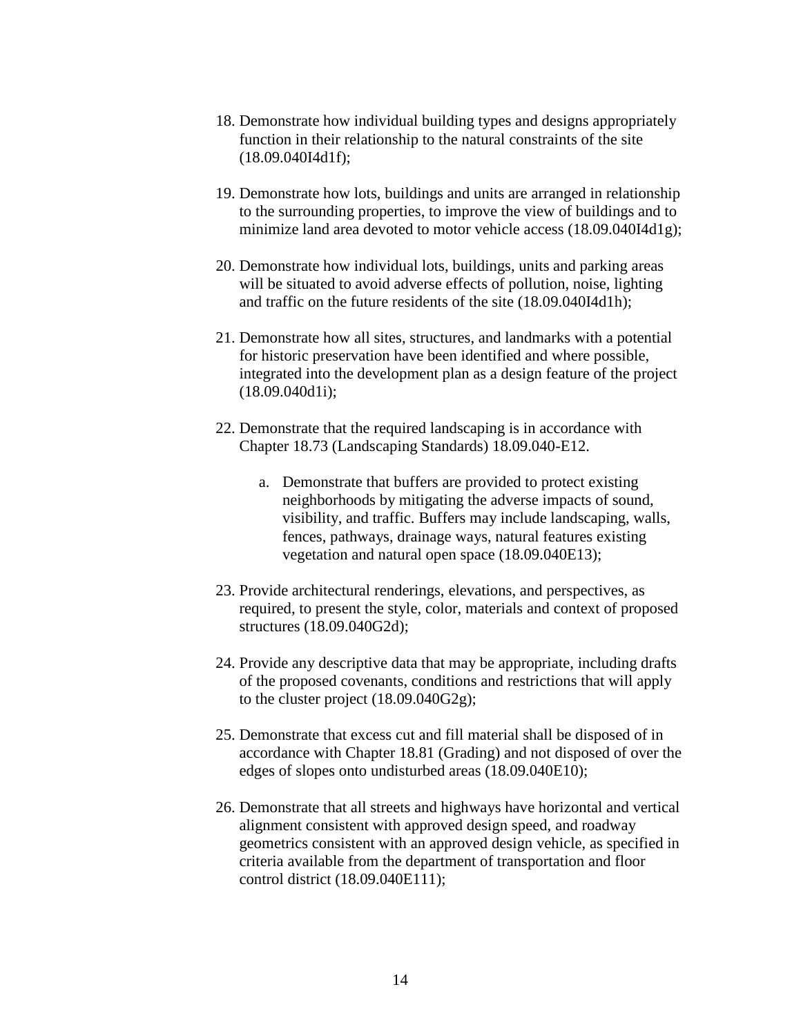- 18. Demonstrate how individual building types and designs appropriately function in their relationship to the natural constraints of the site (18.09.040I4d1f);
- 19. Demonstrate how lots, buildings and units are arranged in relationship to the surrounding properties, to improve the view of buildings and to minimize land area devoted to motor vehicle access (18.09.040I4d1g);
- 20. Demonstrate how individual lots, buildings, units and parking areas will be situated to avoid adverse effects of pollution, noise, lighting and traffic on the future residents of the site (18.09.040I4d1h);
- 21. Demonstrate how all sites, structures, and landmarks with a potential for historic preservation have been identified and where possible, integrated into the development plan as a design feature of the project (18.09.040d1i);
- 22. Demonstrate that the required landscaping is in accordance with Chapter 18.73 (Landscaping Standards) 18.09.040-E12.
	- a. Demonstrate that buffers are provided to protect existing neighborhoods by mitigating the adverse impacts of sound, visibility, and traffic. Buffers may include landscaping, walls, fences, pathways, drainage ways, natural features existing vegetation and natural open space (18.09.040E13);
- 23. Provide architectural renderings, elevations, and perspectives, as required, to present the style, color, materials and context of proposed structures (18.09.040G2d);
- 24. Provide any descriptive data that may be appropriate, including drafts of the proposed covenants, conditions and restrictions that will apply to the cluster project (18.09.040G2g);
- 25. Demonstrate that excess cut and fill material shall be disposed of in accordance with Chapter 18.81 (Grading) and not disposed of over the edges of slopes onto undisturbed areas (18.09.040E10);
- 26. Demonstrate that all streets and highways have horizontal and vertical alignment consistent with approved design speed, and roadway geometrics consistent with an approved design vehicle, as specified in criteria available from the department of transportation and floor control district (18.09.040E111);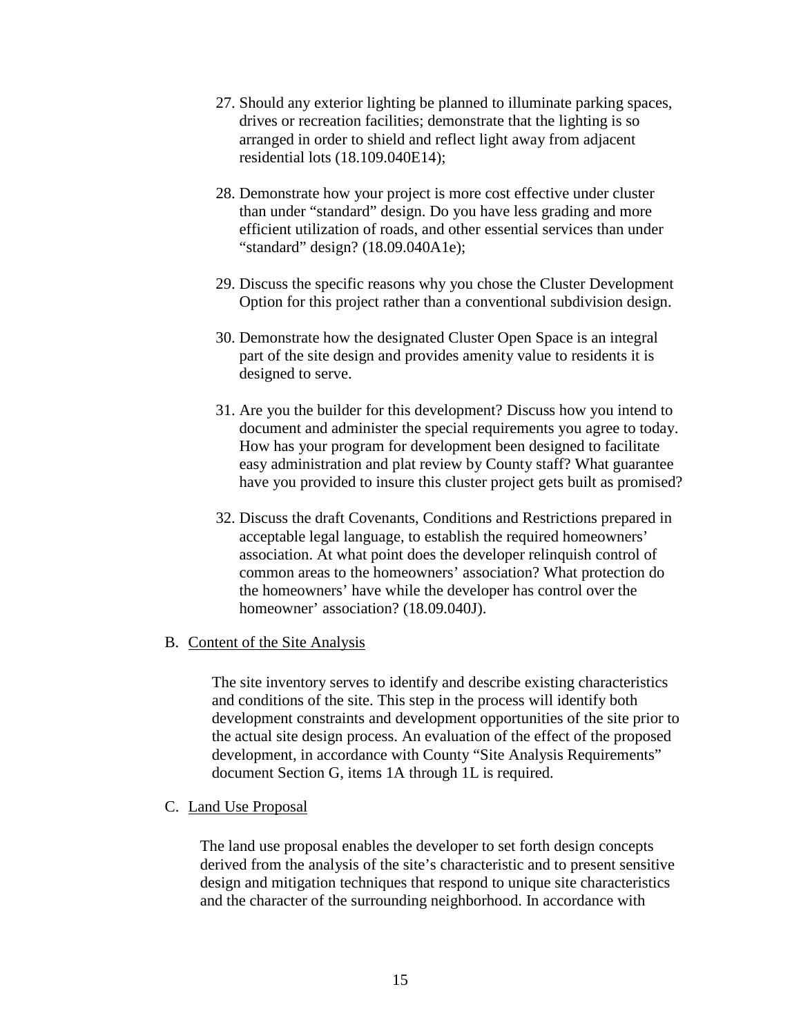- 27. Should any exterior lighting be planned to illuminate parking spaces, drives or recreation facilities; demonstrate that the lighting is so arranged in order to shield and reflect light away from adjacent residential lots (18.109.040E14);
- 28. Demonstrate how your project is more cost effective under cluster than under "standard" design. Do you have less grading and more efficient utilization of roads, and other essential services than under "standard" design? (18.09.040A1e);
- 29. Discuss the specific reasons why you chose the Cluster Development Option for this project rather than a conventional subdivision design.
- 30. Demonstrate how the designated Cluster Open Space is an integral part of the site design and provides amenity value to residents it is designed to serve.
- 31. Are you the builder for this development? Discuss how you intend to document and administer the special requirements you agree to today. How has your program for development been designed to facilitate easy administration and plat review by County staff? What guarantee have you provided to insure this cluster project gets built as promised?
- 32. Discuss the draft Covenants, Conditions and Restrictions prepared in acceptable legal language, to establish the required homeowners' association. At what point does the developer relinquish control of common areas to the homeowners' association? What protection do the homeowners' have while the developer has control over the homeowner' association? (18.09.040J).

## <span id="page-14-0"></span>B. Content of the Site Analysis

The site inventory serves to identify and describe existing characteristics and conditions of the site. This step in the process will identify both development constraints and development opportunities of the site prior to the actual site design process. An evaluation of the effect of the proposed development, in accordance with County "Site Analysis Requirements" document Section G, items 1A through 1L is required.

#### <span id="page-14-1"></span>C. Land Use Proposal

The land use proposal enables the developer to set forth design concepts derived from the analysis of the site's characteristic and to present sensitive design and mitigation techniques that respond to unique site characteristics and the character of the surrounding neighborhood. In accordance with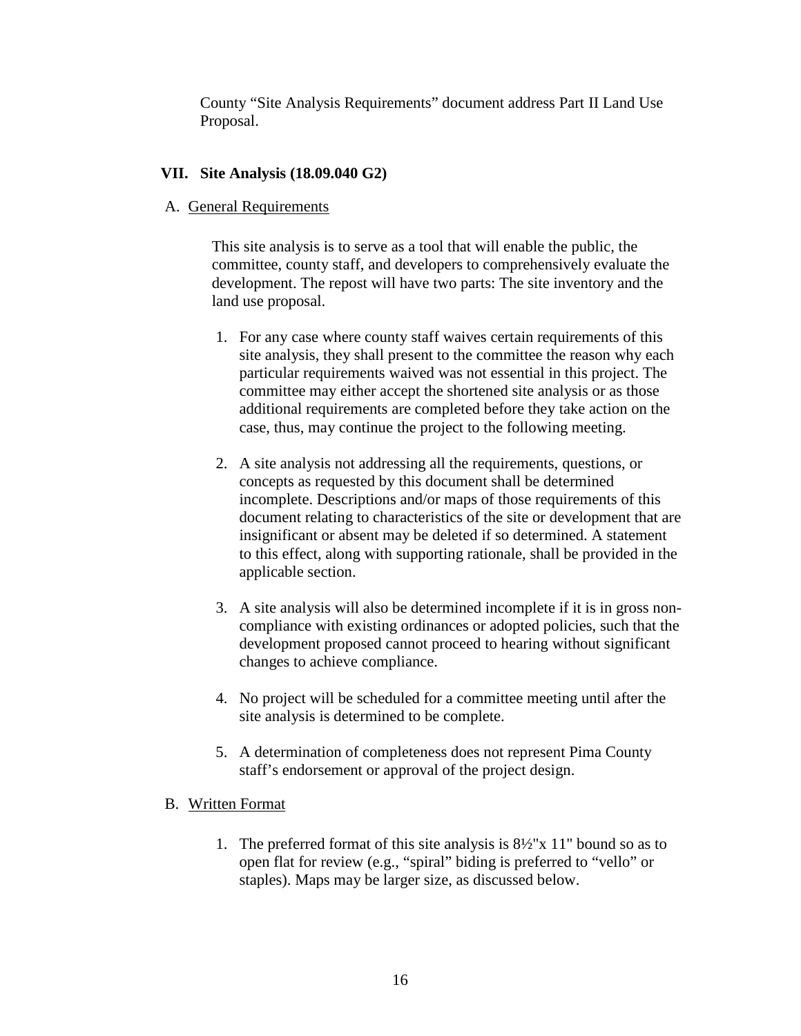County "Site Analysis Requirements" document address Part II Land Use Proposal.

## <span id="page-15-1"></span><span id="page-15-0"></span>**VII. Site Analysis (18.09.040 G2)**

## A. General Requirements

This site analysis is to serve as a tool that will enable the public, the committee, county staff, and developers to comprehensively evaluate the development. The repost will have two parts: The site inventory and the land use proposal.

- 1. For any case where county staff waives certain requirements of this site analysis, they shall present to the committee the reason why each particular requirements waived was not essential in this project. The committee may either accept the shortened site analysis or as those additional requirements are completed before they take action on the case, thus, may continue the project to the following meeting.
- 2. A site analysis not addressing all the requirements, questions, or concepts as requested by this document shall be determined incomplete. Descriptions and/or maps of those requirements of this document relating to characteristics of the site or development that are insignificant or absent may be deleted if so determined. A statement to this effect, along with supporting rationale, shall be provided in the applicable section.
- 3. A site analysis will also be determined incomplete if it is in gross noncompliance with existing ordinances or adopted policies, such that the development proposed cannot proceed to hearing without significant changes to achieve compliance.
- 4. No project will be scheduled for a committee meeting until after the site analysis is determined to be complete.
- 5. A determination of completeness does not represent Pima County staff's endorsement or approval of the project design.

## <span id="page-15-2"></span>B. Written Format

1. The preferred format of this site analysis is 8½"x 11" bound so as to open flat for review (e.g., "spiral" biding is preferred to "vello" or staples). Maps may be larger size, as discussed below.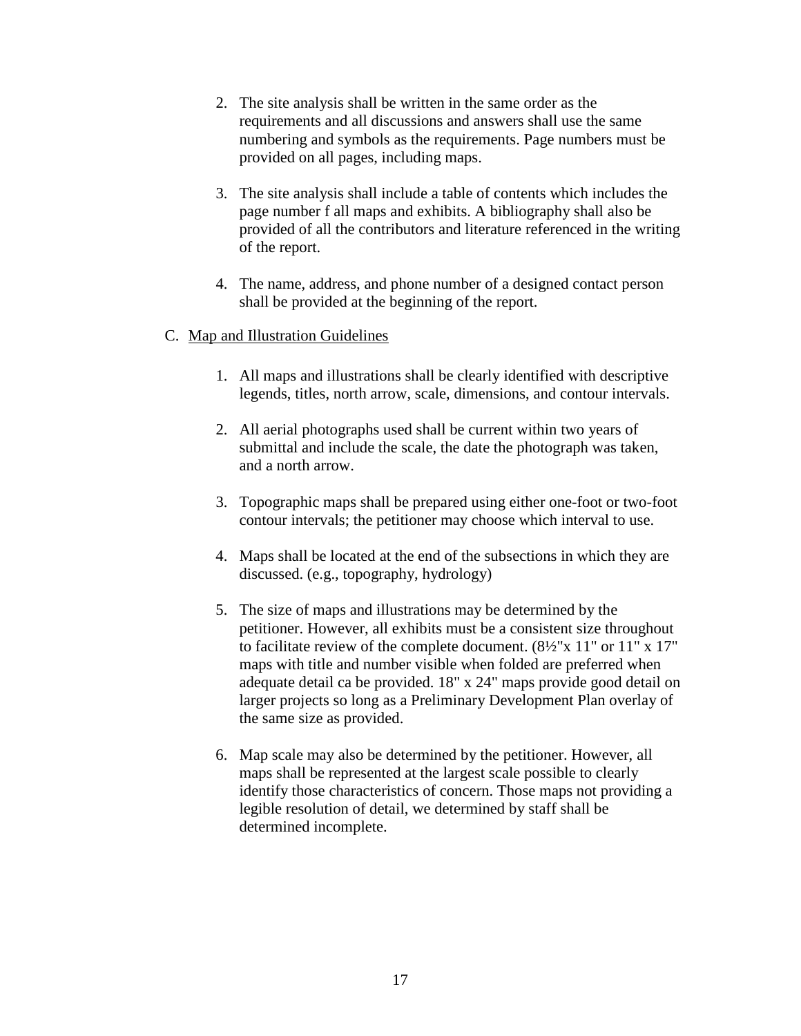- 2. The site analysis shall be written in the same order as the requirements and all discussions and answers shall use the same numbering and symbols as the requirements. Page numbers must be provided on all pages, including maps.
- 3. The site analysis shall include a table of contents which includes the page number f all maps and exhibits. A bibliography shall also be provided of all the contributors and literature referenced in the writing of the report.
- 4. The name, address, and phone number of a designed contact person shall be provided at the beginning of the report.

# <span id="page-16-0"></span>C. Map and Illustration Guidelines

- 1. All maps and illustrations shall be clearly identified with descriptive legends, titles, north arrow, scale, dimensions, and contour intervals.
- 2. All aerial photographs used shall be current within two years of submittal and include the scale, the date the photograph was taken, and a north arrow.
- 3. Topographic maps shall be prepared using either one-foot or two-foot contour intervals; the petitioner may choose which interval to use.
- 4. Maps shall be located at the end of the subsections in which they are discussed. (e.g., topography, hydrology)
- 5. The size of maps and illustrations may be determined by the petitioner. However, all exhibits must be a consistent size throughout to facilitate review of the complete document. (8½"x 11" or 11" x 17" maps with title and number visible when folded are preferred when adequate detail ca be provided. 18" x 24" maps provide good detail on larger projects so long as a Preliminary Development Plan overlay of the same size as provided.
- 6. Map scale may also be determined by the petitioner. However, all maps shall be represented at the largest scale possible to clearly identify those characteristics of concern. Those maps not providing a legible resolution of detail, we determined by staff shall be determined incomplete.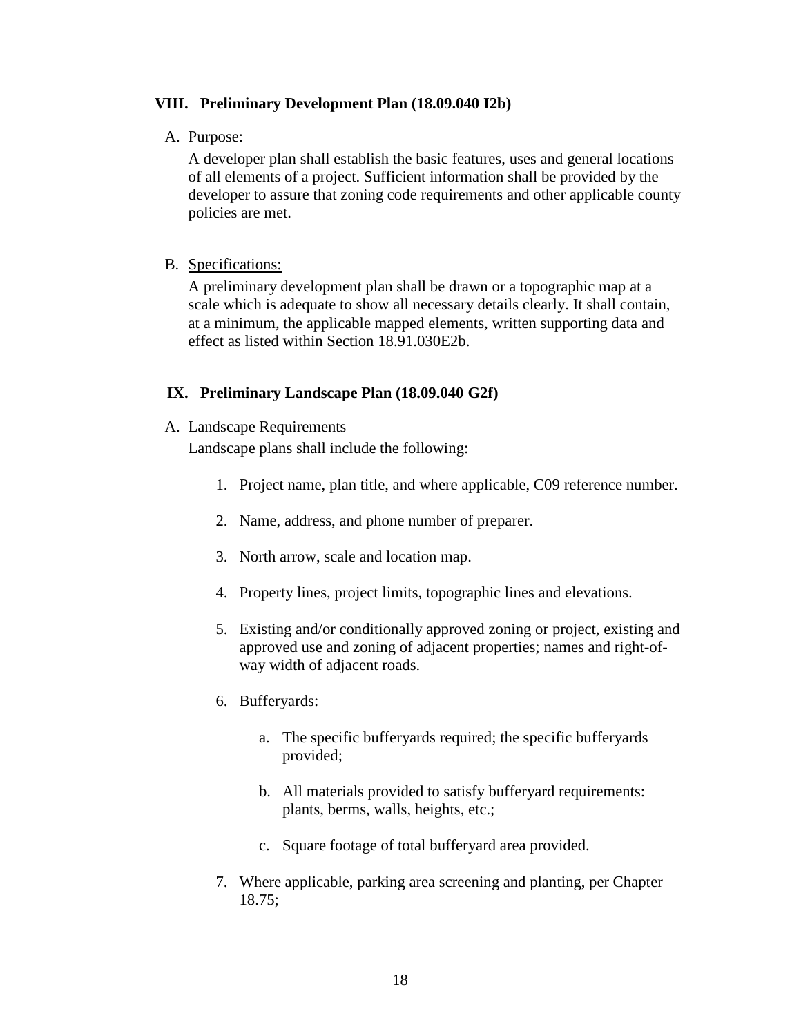## <span id="page-17-1"></span><span id="page-17-0"></span>**VIII. Preliminary Development Plan (18.09.040 I2b)**

#### A. Purpose:

A developer plan shall establish the basic features, uses and general locations of all elements of a project. Sufficient information shall be provided by the developer to assure that zoning code requirements and other applicable county policies are met.

#### <span id="page-17-2"></span>B. Specifications:

A preliminary development plan shall be drawn or a topographic map at a scale which is adequate to show all necessary details clearly. It shall contain, at a minimum, the applicable mapped elements, written supporting data and effect as listed within Section 18.91.030E2b.

#### <span id="page-17-3"></span>**IX. Preliminary Landscape Plan (18.09.040 G2f)**

#### <span id="page-17-4"></span>A. Landscape Requirements

Landscape plans shall include the following:

- 1. Project name, plan title, and where applicable, C09 reference number.
- 2. Name, address, and phone number of preparer.
- 3. North arrow, scale and location map.
- 4. Property lines, project limits, topographic lines and elevations.
- 5. Existing and/or conditionally approved zoning or project, existing and approved use and zoning of adjacent properties; names and right-ofway width of adjacent roads.
- 6. Bufferyards:
	- a. The specific bufferyards required; the specific bufferyards provided;
	- b. All materials provided to satisfy bufferyard requirements: plants, berms, walls, heights, etc.;
	- c. Square footage of total bufferyard area provided.
- 7. Where applicable, parking area screening and planting, per Chapter 18.75;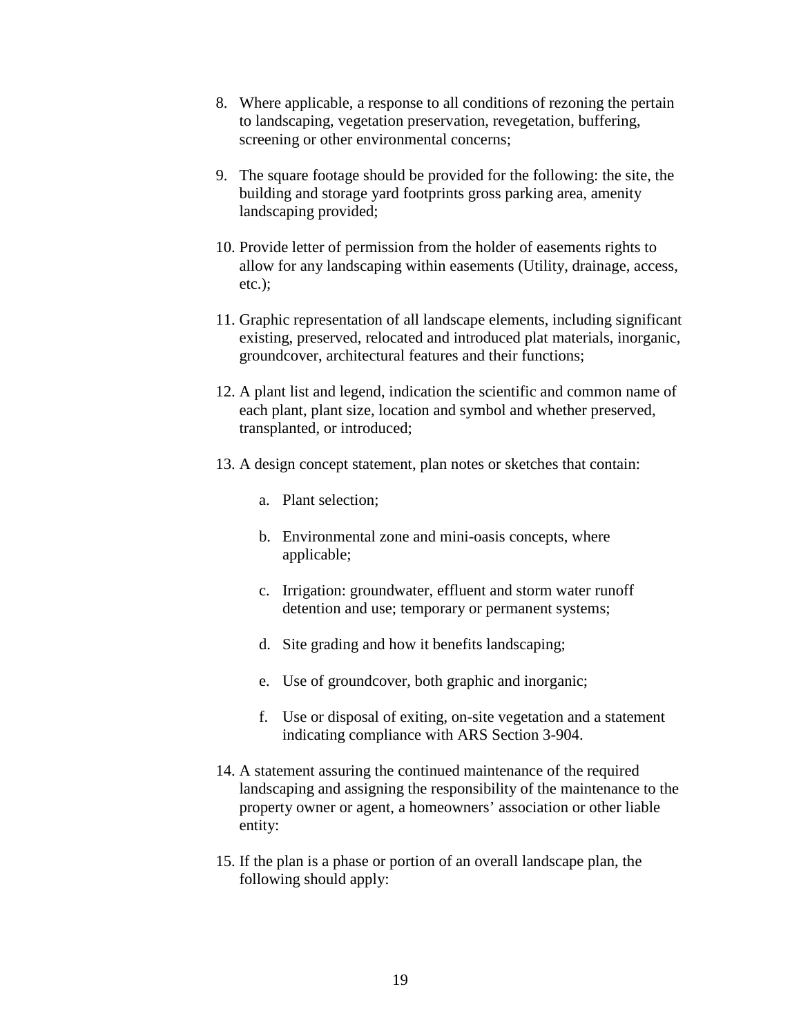- 8. Where applicable, a response to all conditions of rezoning the pertain to landscaping, vegetation preservation, revegetation, buffering, screening or other environmental concerns;
- 9. The square footage should be provided for the following: the site, the building and storage yard footprints gross parking area, amenity landscaping provided;
- 10. Provide letter of permission from the holder of easements rights to allow for any landscaping within easements (Utility, drainage, access, etc.);
- 11. Graphic representation of all landscape elements, including significant existing, preserved, relocated and introduced plat materials, inorganic, groundcover, architectural features and their functions;
- 12. A plant list and legend, indication the scientific and common name of each plant, plant size, location and symbol and whether preserved, transplanted, or introduced;
- 13. A design concept statement, plan notes or sketches that contain:
	- a. Plant selection;
	- b. Environmental zone and mini-oasis concepts, where applicable;
	- c. Irrigation: groundwater, effluent and storm water runoff detention and use; temporary or permanent systems;
	- d. Site grading and how it benefits landscaping;
	- e. Use of groundcover, both graphic and inorganic;
	- f. Use or disposal of exiting, on-site vegetation and a statement indicating compliance with ARS Section 3-904.
- 14. A statement assuring the continued maintenance of the required landscaping and assigning the responsibility of the maintenance to the property owner or agent, a homeowners' association or other liable entity:
- 15. If the plan is a phase or portion of an overall landscape plan, the following should apply: